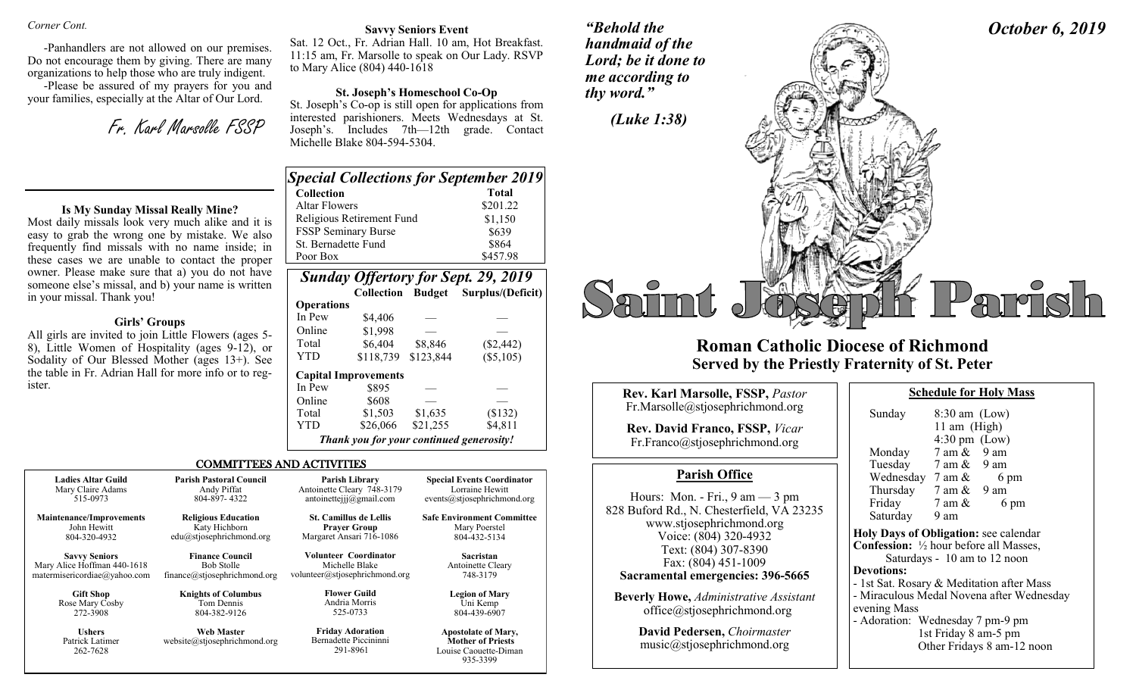#### *Corner Cont.*

-Panhandlers are not allowed on our premises. Do not encourage them by giving. There are many organizations to help those who are truly indigent.

-Please be assured of my prayers for you and your families, especially at the Altar of Our Lord.

Fr. Karl Marsolle FSSP

#### **Is My Sunday Missal Really Mine?**

Most daily missals look very much alike and it is easy to grab the wrong one by mistake. We also frequently find missals with no name inside; in these cases we are unable to contact the proper owner. Please make sure that a) you do not have someone else's missal, and b) your name is written in your missal. Thank you!

### **Girls' Groups**

All girls are invited to join Little Flowers (ages 5- 8), Little Women of Hospitality (ages 9-12), or Sodality of Our Blessed Mother (ages 13+). See the table in Fr. Adrian Hall for more info or to register.

# **Savvy Seniors Event**

Sat. 12 Oct., Fr. Adrian Hall. 10 am, Hot Breakfast. 11:15 am, Fr. Marsolle to speak on Our Lady. RSVP to Mary Alice (804) 440-1618

### **St. Joseph's Homeschool Co-Op**

St. Joseph's Co-op is still open for applications from interested parishioners. Meets Wednesdays at St. Joseph's. Includes 7th—12th grade. Contact Michelle Blake 804-594-5304.

| <b>Special Collections for September 2019</b> |              |
|-----------------------------------------------|--------------|
| <b>Collection</b>                             | <b>Total</b> |
| Altar Flowers                                 | \$201.22     |
| Religious Retirement Fund                     | \$1,150      |
| FSSP Seminary Burse                           | \$639        |
| St. Bernadette Fund                           | \$864        |
| Poor Box                                      | \$457.98     |

| <b>Sunday Offertory for Sept. 29, 2019</b> |                                          |           |                   |
|--------------------------------------------|------------------------------------------|-----------|-------------------|
|                                            | <b>Collection Budget</b>                 |           | Surplus/(Deficit) |
| <b>Operations</b>                          |                                          |           |                   |
| In Pew                                     | \$4.406                                  |           |                   |
| Online                                     | \$1,998                                  |           |                   |
| Total                                      | \$6,404                                  | \$8,846   | $(\$2,442)$       |
| YTD                                        | \$118,739                                | \$123,844 | (\$5,105)         |
|                                            | <b>Capital Improvements</b>              |           |                   |
| In Pew                                     | \$895                                    |           |                   |
| Online                                     | \$608                                    |           |                   |
| Total                                      | \$1,503                                  | \$1,635   | (\$132)           |
| YTD                                        | \$26,066                                 | \$21,255  | \$4,811           |
|                                            | Thank you for your continued generosity! |           |                   |

Louise Caouette-Diman 935-3399

#### COMMITTEES AND ACTIVITIES

| <b>Ladies Altar Guild</b>                    | <b>Parish Pastoral Council</b>                    | Parish Library                                               | <b>Special Events Coordinator</b>                                               |
|----------------------------------------------|---------------------------------------------------|--------------------------------------------------------------|---------------------------------------------------------------------------------|
| Mary Claire Adams                            | Andy Piffat                                       | Antoinette Cleary 748-3179                                   | Lorraine Hewitt                                                                 |
| 515-0973                                     | 804-897-4322                                      | antoinetteijj@gmail.com                                      | events@stjosephrichmond.org                                                     |
| <b>Maintenance/Improvements</b>              | <b>Religious Education</b>                        | <b>St. Camillus de Lellis</b>                                | <b>Safe Environment Committee</b>                                               |
| John Hewitt                                  | Katy Hichborn                                     | <b>Prayer Group</b>                                          | Mary Poerstel                                                                   |
| 804-320-4932                                 | edu@stjosephrichmond.org                          | Margaret Ansari 716-1086                                     | 804-432-5134                                                                    |
| <b>Savvy Seniors</b>                         | <b>Finance Council</b>                            | <b>Volunteer Coordinator</b>                                 | Sacristan                                                                       |
| Mary Alice Hoffman 440-1618                  | <b>Bob Stolle</b>                                 | Michelle Blake                                               | Antoinette Cleary                                                               |
| matermisericordiae@yahoo.com                 | finance@stjosephrichmond.org                      | volunteer@stjosephrichmond.org                               | 748-3179                                                                        |
| <b>Gift Shop</b>                             | <b>Knights of Columbus</b>                        | <b>Flower Guild</b>                                          | <b>Legion of Mary</b>                                                           |
| Rose Mary Cosby                              | Tom Dennis                                        | Andria Morris                                                | Uni Kemp                                                                        |
| 272-3908                                     | 804-382-9126                                      | 525-0733                                                     | 804-439-6907                                                                    |
| <b>Ushers</b><br>Patrick Latimer<br>262-7628 | <b>Web Master</b><br>website@stjosephrichmond.org | <b>Friday Adoration</b><br>Bernadette Piccininni<br>291-8961 | <b>Apostolate of Mary,</b><br><b>Mother of Priests</b><br>Louise Caouette-Diman |

*"Behold the handmaid of the Lord; be it done to* 



# **Roman Catholic Diocese of Richmond Served by the Priestly Fraternity of St. Peter**

| <b>Rev. Karl Marsolle, FSSP, Pastor</b>                                                                                    | <b>Schedule for Holy Mass</b>                                                                                         |
|----------------------------------------------------------------------------------------------------------------------------|-----------------------------------------------------------------------------------------------------------------------|
| Fr.Marsolle@stjosephrichmond.org                                                                                           | $8:30$ am (Low)<br>Sunday                                                                                             |
| <b>Rev. David Franco, FSSP, Vicar</b><br>Fr.Franco@stjosephrichmond.org                                                    | 11 am $(High)$<br>$4:30 \text{ pm}$ (Low)<br>$7$ am $\&$<br>9 am<br>Monday                                            |
| <b>Parish Office</b>                                                                                                       | Tuesday 7 am & 9 am<br>Wednesday $7 \text{ am } \&$<br>6 pm                                                           |
| Hours: Mon. - Fri., $9 \text{ am} - 3 \text{ pm}$<br>828 Buford Rd., N. Chesterfield, VA 23235<br>www.stjosephrichmond.org | Thursday $7 \text{ am } \& 9 \text{ am}$<br>Friday<br>7 am &<br>6 pm<br>Saturday<br>9 am                              |
| Voice: (804) 320-4932<br>Text: (804) 307-8390<br>Fax: (804) 451-1009                                                       | Holy Days of Obligation: see calenda<br><b>Confession:</b> 1/2 hour before all Masses<br>Saturdays - 10 am to 12 noon |
| Sacramental emergencies: 396-5665                                                                                          | <b>Devotions:</b><br>- 1st Sat. Rosary & Meditation after M                                                           |
| <b>Beverly Howe, Administrative Assistant</b><br>office@stjosephrichmond.org                                               | - Miraculous Medal Novena after Wed<br>evening Mass<br>- Adoration: Wednesday 7 pm-9 pm                               |
| David Pedersen, Choirmaster                                                                                                | 1st Friday 8 am-5 pm                                                                                                  |

music@stjosephrichmond.org

|                                                          | $4:30 \text{ pm}$ (Low)                  |                                           |  |
|----------------------------------------------------------|------------------------------------------|-------------------------------------------|--|
| Monday                                                   | $7$ am $\&$ 9 am                         |                                           |  |
|                                                          | Tuesday 7 am & 9 am                      |                                           |  |
|                                                          | Wednesday $7 \text{ am } \&$             | 6 pm                                      |  |
|                                                          | Thursday $7 \text{ am } \& 9 \text{ am}$ |                                           |  |
| Friday                                                   | 7 am &                                   | 6 pm                                      |  |
| Saturday 9 am                                            |                                          |                                           |  |
| <b>Holy Days of Obligation: see calendar</b>             |                                          |                                           |  |
| <b>Confession:</b> $\frac{1}{2}$ hour before all Masses, |                                          |                                           |  |
|                                                          | Saturdays - 10 am to 12 noon             |                                           |  |
| <b>Devotions:</b>                                        |                                          |                                           |  |
|                                                          |                                          | - 1st Sat. Rosary & Meditation after Mass |  |
|                                                          |                                          | - Miraculous Medal Novena after Wednesday |  |
| evening Mass                                             |                                          |                                           |  |
| - Adoration: Wednesday 7 pm-9 pm                         | 1st Friday 8 am-5 pm                     | Other Fridays 8 am-12 noon                |  |
|                                                          |                                          |                                           |  |

*October 6, 2019*